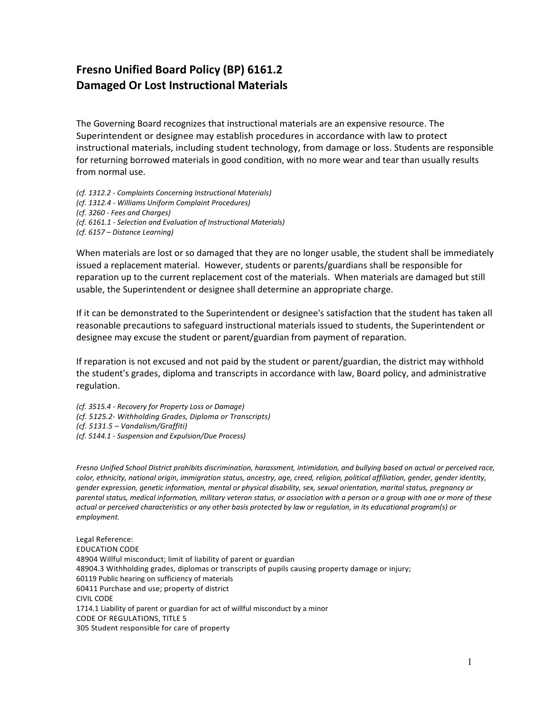## **Fresno Unified Board Policy (BP) 6161.2 Damaged Or Lost Instructional Materials**

The Governing Board recognizes that instructional materials are an expensive resource. The Superintendent or designee may establish procedures in accordance with law to protect instructional materials, including student technology, from damage or loss. Students are responsible for returning borrowed materials in good condition, with no more wear and tear than usually results from normal use.

*(cf. 1312.2 - Complaints Concerning Instructional Materials) (cf. 1312.4 - Williams Uniform Complaint Procedures) (cf. 3260 - Fees and Charges) (cf. 6161.1 - Selection and Evaluation of Instructional Materials) (cf. 6157 – Distance Learning)*

When materials are lost or so damaged that they are no longer usable, the student shall be immediately issued a replacement material. However, students or parents/guardians shall be responsible for reparation up to the current replacement cost of the materials. When materials are damaged but still usable, the Superintendent or designee shall determine an appropriate charge.

If it can be demonstrated to the Superintendent or designee's satisfaction that the student has taken all reasonable precautions to safeguard instructional materials issued to students, the Superintendent or designee may excuse the student or parent/guardian from payment of reparation.

If reparation is not excused and not paid by the student or parent/guardian, the district may withhold the student's grades, diploma and transcripts in accordance with law, Board policy, and administrative regulation.

*(cf. 3515.4 - Recovery for Property Loss or Damage) (cf. 5125.2- Withholding Grades, Diploma or Transcripts) (cf. 5131.5 – Vandalism/Graffiti)*

*(cf. 5144.1 - Suspension and Expulsion/Due Process)*

*Fresno Unified School District prohibits discrimination, harassment, intimidation, and bullying based on actual or perceived race, color, ethnicity, national origin, immigration status, ancestry, age, creed, religion, political affiliation, gender, gender identity, gender expression, genetic information, mental or physical disability, sex, sexual orientation, marital status, pregnancy or parental status, medical information, military veteran status, or association with a person or a group with one or more of these actual or perceived characteristics or any other basis protected by law or regulation, in its educational program(s) or employment.*

Legal Reference: EDUCATION CODE 48904 Willful misconduct; limit of liability of parent or guardian 48904.3 Withholding grades, diplomas or transcripts of pupils causing property damage or injury; 60119 Public hearing on sufficiency of materials 60411 Purchase and use; property of district CIVIL CODE 1714.1 Liability of parent or guardian for act of willful misconduct by a minor CODE OF REGULATIONS, TITLE 5 305 Student responsible for care of property